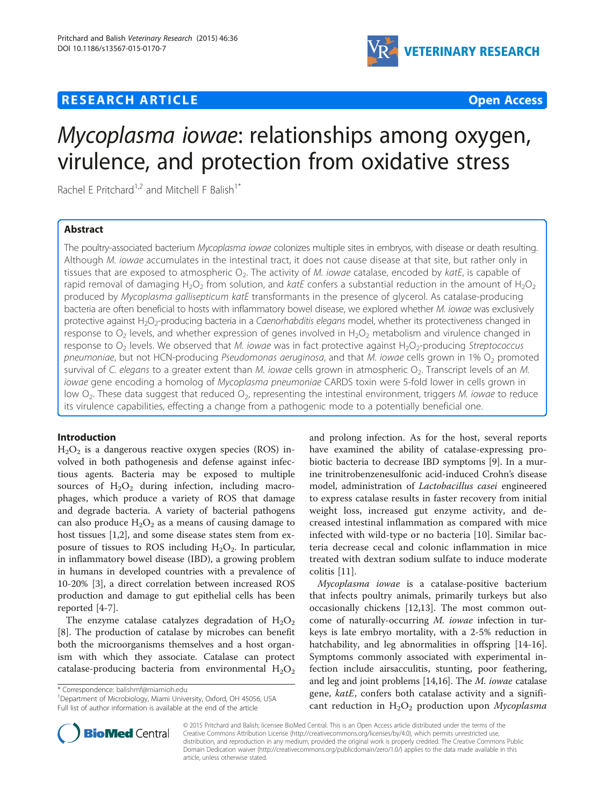

### **RESEARCH ARTICLE Example 2014 12:30 THE Open Access**

# Mycoplasma iowae: relationships among oxygen, virulence, and protection from oxidative stress

Rachel E Pritchard<sup>1,2</sup> and Mitchell F Balish<sup>1\*</sup>

#### Abstract

The poultry-associated bacterium Mycoplasma iowae colonizes multiple sites in embryos, with disease or death resulting. Although M. iowae accumulates in the intestinal tract, it does not cause disease at that site, but rather only in tissues that are exposed to atmospheric  $O_2$ . The activity of M. iowae catalase, encoded by katE, is capable of rapid removal of damaging H<sub>2</sub>O<sub>2</sub> from solution, and katE confers a substantial reduction in the amount of H<sub>2</sub>O<sub>2</sub> produced by Mycoplasma gallisepticum katE transformants in the presence of glycerol. As catalase-producing bacteria are often beneficial to hosts with inflammatory bowel disease, we explored whether M. iowae was exclusively protective against H<sub>2</sub>O<sub>2</sub>-producing bacteria in a Caenorhabditis elegans model, whether its protectiveness changed in response to  $O<sub>2</sub>$  levels, and whether expression of genes involved in H<sub>2</sub>O<sub>2</sub> metabolism and virulence changed in response to  $O<sub>2</sub>$  levels. We observed that M. iowae was in fact protective against H<sub>2</sub>O<sub>2</sub>-producing Streptococcus pneumoniae, but not HCN-producing Pseudomonas aeruginosa, and that M. iowae cells grown in 1%  $O_2$  promoted survival of C. elegans to a greater extent than M. iowae cells grown in atmospheric  $O<sub>2</sub>$ . Transcript levels of an M. iowae gene encoding a homolog of Mycoplasma pneumoniae CARDS toxin were 5-fold lower in cells grown in low  $O<sub>2</sub>$ . These data suggest that reduced  $O<sub>2</sub>$ , representing the intestinal environment, triggers M. iowae to reduce its virulence capabilities, effecting a change from a pathogenic mode to a potentially beneficial one.

#### Introduction

 $H<sub>2</sub>O<sub>2</sub>$  is a dangerous reactive oxygen species (ROS) involved in both pathogenesis and defense against infectious agents. Bacteria may be exposed to multiple sources of  $H_2O_2$  during infection, including macrophages, which produce a variety of ROS that damage and degrade bacteria. A variety of bacterial pathogens can also produce  $H_2O_2$  as a means of causing damage to host tissues [[1](#page-8-0),[2\]](#page-8-0), and some disease states stem from exposure of tissues to ROS including  $H_2O_2$ . In particular, in inflammatory bowel disease (IBD), a growing problem in humans in developed countries with a prevalence of 10-20% [[3\]](#page-8-0), a direct correlation between increased ROS production and damage to gut epithelial cells has been reported [[4-7](#page-8-0)].

The enzyme catalase catalyzes degradation of  $H_2O_2$ [[8\]](#page-8-0). The production of catalase by microbes can benefit both the microorganisms themselves and a host organism with which they associate. Catalase can protect catalase-producing bacteria from environmental  $H_2O_2$ 

\* Correspondence: [balishmf@miamioh.edu](mailto:balishmf@miamioh.edu) <sup>1</sup>

<sup>1</sup>Department of Microbiology, Miami University, Oxford, OH 45056, USA Full list of author information is available at the end of the article

and prolong infection. As for the host, several reports have examined the ability of catalase-expressing probiotic bacteria to decrease IBD symptoms [\[9](#page-8-0)]. In a murine trinitrobenzenesulfonic acid-induced Crohn's disease model, administration of Lactobacillus casei engineered to express catalase results in faster recovery from initial weight loss, increased gut enzyme activity, and decreased intestinal inflammation as compared with mice infected with wild-type or no bacteria [[10\]](#page-8-0). Similar bacteria decrease cecal and colonic inflammation in mice treated with dextran sodium sulfate to induce moderate colitis [[11\]](#page-8-0).

Mycoplasma iowae is a catalase-positive bacterium that infects poultry animals, primarily turkeys but also occasionally chickens [\[12,13\]](#page-8-0). The most common outcome of naturally-occurring M. iowae infection in turkeys is late embryo mortality, with a 2-5% reduction in hatchability, and leg abnormalities in offspring [\[14-16](#page-8-0)]. Symptoms commonly associated with experimental infection include airsacculitis, stunting, poor feathering, and leg and joint problems [\[14,16\]](#page-8-0). The M. iowae catalase gene, katE, confers both catalase activity and a significant reduction in  $H_2O_2$  production upon Mycoplasma



© 2015 Pritchard and Balish; licensee BioMed Central. This is an Open Access article distributed under the terms of the Creative Commons Attribution License (<http://creativecommons.org/licenses/by/4.0>), which permits unrestricted use, distribution, and reproduction in any medium, provided the original work is properly credited. The Creative Commons Public Domain Dedication waiver [\(http://creativecommons.org/publicdomain/zero/1.0/\)](http://creativecommons.org/publicdomain/zero/1.0/) applies to the data made available in this article, unless otherwise stated.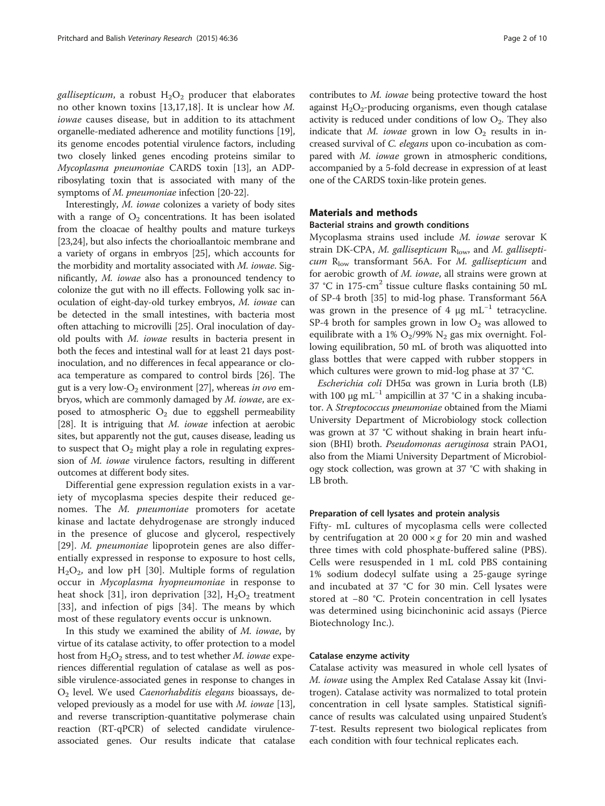gallisepticum, a robust  $H_2O_2$  producer that elaborates no other known toxins [\[13](#page-8-0),[17,18\]](#page-8-0). It is unclear how M. iowae causes disease, but in addition to its attachment organelle-mediated adherence and motility functions [[19](#page-8-0)], its genome encodes potential virulence factors, including two closely linked genes encoding proteins similar to Mycoplasma pneumoniae CARDS toxin [[13](#page-8-0)], an ADPribosylating toxin that is associated with many of the symptoms of M. pneumoniae infection [\[20-22\]](#page-8-0).

Interestingly, M. iowae colonizes a variety of body sites with a range of  $O_2$  concentrations. It has been isolated from the cloacae of healthy poults and mature turkeys [[23,24](#page-8-0)], but also infects the chorioallantoic membrane and a variety of organs in embryos [\[25\]](#page-8-0), which accounts for the morbidity and mortality associated with M. iowae. Significantly, M. iowae also has a pronounced tendency to colonize the gut with no ill effects. Following yolk sac inoculation of eight-day-old turkey embryos, M. iowae can be detected in the small intestines, with bacteria most often attaching to microvilli [\[25\]](#page-8-0). Oral inoculation of dayold poults with M. iowae results in bacteria present in both the feces and intestinal wall for at least 21 days postinoculation, and no differences in fecal appearance or cloaca temperature as compared to control birds [[26](#page-8-0)]. The gut is a very low- $O_2$  environment [[27](#page-8-0)], whereas in ovo embryos, which are commonly damaged by M. iowae, are exposed to atmospheric  $O_2$  due to eggshell permeability [[28](#page-8-0)]. It is intriguing that *M. iowae* infection at aerobic sites, but apparently not the gut, causes disease, leading us to suspect that  $O_2$  might play a role in regulating expression of M. iowae virulence factors, resulting in different outcomes at different body sites.

Differential gene expression regulation exists in a variety of mycoplasma species despite their reduced genomes. The M. pneumoniae promoters for acetate kinase and lactate dehydrogenase are strongly induced in the presence of glucose and glycerol, respectively [[29\]](#page-8-0). M. pneumoniae lipoprotein genes are also differentially expressed in response to exposure to host cells,  $H<sub>2</sub>O<sub>2</sub>$ , and low pH [[30\]](#page-8-0). Multiple forms of regulation occur in Mycoplasma hyopneumoniae in response to heat shock [\[31](#page-8-0)], iron deprivation [[32\]](#page-8-0),  $H_2O_2$  treatment [[33\]](#page-8-0), and infection of pigs [[34\]](#page-8-0). The means by which most of these regulatory events occur is unknown.

In this study we examined the ability of  $M$ . iowae, by virtue of its catalase activity, to offer protection to a model host from  $H_2O_2$  stress, and to test whether *M. iowae* experiences differential regulation of catalase as well as possible virulence-associated genes in response to changes in  $O<sub>2</sub>$  level. We used *Caenorhabditis elegans* bioassays, developed previously as a model for use with M. iowae [[13](#page-8-0)], and reverse transcription-quantitative polymerase chain reaction (RT-qPCR) of selected candidate virulenceassociated genes. Our results indicate that catalase

contributes to M. iowae being protective toward the host against  $H_2O_2$ -producing organisms, even though catalase activity is reduced under conditions of low  $O_2$ . They also indicate that M. iowae grown in low  $O_2$  results in increased survival of C. elegans upon co-incubation as compared with M. iowae grown in atmospheric conditions, accompanied by a 5-fold decrease in expression of at least one of the CARDS toxin-like protein genes.

#### Materials and methods

#### Bacterial strains and growth conditions

Mycoplasma strains used include M. iowae serovar K strain DK-CPA, M. gallisepticum Rlow, and M. gallisepticum  $R_{\text{low}}$  transformant 56A. For M. gallisepticum and for aerobic growth of M. iowae, all strains were grown at 37 °C in 175-cm<sup>2</sup> tissue culture flasks containing 50 mL of SP-4 broth [\[35](#page-8-0)] to mid-log phase. Transformant 56A was grown in the presence of 4  $\mu$ g mL<sup>-1</sup> tetracycline. SP-4 broth for samples grown in low  $O_2$  was allowed to equilibrate with a 1%  $O_2/99\%$  N<sub>2</sub> gas mix overnight. Following equilibration, 50 mL of broth was aliquotted into glass bottles that were capped with rubber stoppers in which cultures were grown to mid-log phase at 37 °C.

Escherichia coli DH5α was grown in Luria broth (LB) with 100  $\mu$ g mL<sup>-1</sup> ampicillin at 37 °C in a shaking incubator. A Streptococcus pneumoniae obtained from the Miami University Department of Microbiology stock collection was grown at 37 °C without shaking in brain heart infusion (BHI) broth. Pseudomonas aeruginosa strain PAO1, also from the Miami University Department of Microbiology stock collection, was grown at 37 °C with shaking in LB broth.

#### Preparation of cell lysates and protein analysis

Fifty- mL cultures of mycoplasma cells were collected by centrifugation at 20 000  $\times$  g for 20 min and washed three times with cold phosphate-buffered saline (PBS). Cells were resuspended in 1 mL cold PBS containing 1% sodium dodecyl sulfate using a 25-gauge syringe and incubated at 37 °C for 30 min. Cell lysates were stored at −80 °C. Protein concentration in cell lysates was determined using bicinchoninic acid assays (Pierce Biotechnology Inc.).

#### Catalase enzyme activity

Catalase activity was measured in whole cell lysates of M. iowae using the Amplex Red Catalase Assay kit (Invitrogen). Catalase activity was normalized to total protein concentration in cell lysate samples. Statistical significance of results was calculated using unpaired Student's T-test. Results represent two biological replicates from each condition with four technical replicates each.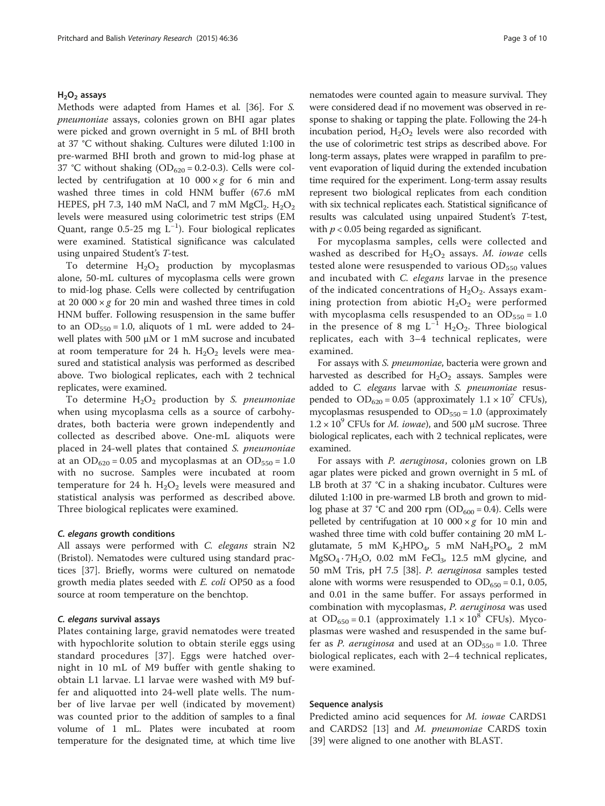#### $H<sub>2</sub>O<sub>2</sub>$  assays

Methods were adapted from Hames et al. [\[36\]](#page-8-0). For S. pneumoniae assays, colonies grown on BHI agar plates were picked and grown overnight in 5 mL of BHI broth at 37 °C without shaking. Cultures were diluted 1:100 in pre-warmed BHI broth and grown to mid-log phase at 37 °C without shaking  $OD_{620} = 0.2-0.3$ ). Cells were collected by centrifugation at 10 000  $\times$  g for 6 min and washed three times in cold HNM buffer (67.6 mM HEPES, pH 7.3, 140 mM NaCl, and 7 mM  $MgCl_2$ . H<sub>2</sub>O<sub>2</sub> levels were measured using colorimetric test strips (EM Quant, range 0.5-25 mg L<sup>-1</sup>). Four biological replicates were examined. Statistical significance was calculated using unpaired Student's T-test.

To determine  $H_2O_2$  production by mycoplasmas alone, 50-mL cultures of mycoplasma cells were grown to mid-log phase. Cells were collected by centrifugation at 20 000  $\times$  g for 20 min and washed three times in cold HNM buffer. Following resuspension in the same buffer to an  $OD_{550} = 1.0$ , aliquots of 1 mL were added to 24well plates with 500 μM or 1 mM sucrose and incubated at room temperature for 24 h.  $H_2O_2$  levels were measured and statistical analysis was performed as described above. Two biological replicates, each with 2 technical replicates, were examined.

To determine  $H_2O_2$  production by S. *pneumoniae* when using mycoplasma cells as a source of carbohydrates, both bacteria were grown independently and collected as described above. One-mL aliquots were placed in 24-well plates that contained S. pneumoniae at an  $OD_{620} = 0.05$  and mycoplasmas at an  $OD_{550} = 1.0$ with no sucrose. Samples were incubated at room temperature for 24 h.  $H_2O_2$  levels were measured and statistical analysis was performed as described above. Three biological replicates were examined.

#### C. elegans growth conditions

All assays were performed with C. elegans strain N2 (Bristol). Nematodes were cultured using standard practices [\[37](#page-9-0)]. Briefly, worms were cultured on nematode growth media plates seeded with E. coli OP50 as a food source at room temperature on the benchtop.

#### C. elegans survival assays

Plates containing large, gravid nematodes were treated with hypochlorite solution to obtain sterile eggs using standard procedures [[37](#page-9-0)]. Eggs were hatched overnight in 10 mL of M9 buffer with gentle shaking to obtain L1 larvae. L1 larvae were washed with M9 buffer and aliquotted into 24-well plate wells. The number of live larvae per well (indicated by movement) was counted prior to the addition of samples to a final volume of 1 mL. Plates were incubated at room temperature for the designated time, at which time live

nematodes were counted again to measure survival. They were considered dead if no movement was observed in response to shaking or tapping the plate. Following the 24-h incubation period,  $H_2O_2$  levels were also recorded with the use of colorimetric test strips as described above. For long-term assays, plates were wrapped in parafilm to prevent evaporation of liquid during the extended incubation time required for the experiment. Long-term assay results represent two biological replicates from each condition with six technical replicates each. Statistical significance of results was calculated using unpaired Student's T-test, with  $p < 0.05$  being regarded as significant.

For mycoplasma samples, cells were collected and washed as described for  $H_2O_2$  assays. M. iowae cells tested alone were resuspended to various  $OD_{550}$  values and incubated with C. elegans larvae in the presence of the indicated concentrations of  $H_2O_2$ . Assays examining protection from abiotic  $H_2O_2$  were performed with mycoplasma cells resuspended to an  $OD_{550} = 1.0$ in the presence of 8 mg  $L^{-1}$  H<sub>2</sub>O<sub>2</sub>. Three biological replicates, each with 3–4 technical replicates, were examined.

For assays with S. pneumoniae, bacteria were grown and harvested as described for  $H_2O_2$  assays. Samples were added to C. elegans larvae with S. pneumoniae resuspended to  $OD_{620} = 0.05$  (approximately  $1.1 \times 10^7$  CFUs), mycoplasmas resuspended to  $OD_{550} = 1.0$  (approximately  $1.2 \times 10^9$  CFUs for *M. iowae*), and 500  $\mu$ M sucrose. Three biological replicates, each with 2 technical replicates, were examined.

For assays with P. aeruginosa, colonies grown on LB agar plates were picked and grown overnight in 5 mL of LB broth at 37 °C in a shaking incubator. Cultures were diluted 1:100 in pre-warmed LB broth and grown to midlog phase at 37 °C and 200 rpm ( $OD<sub>600</sub> = 0.4$ ). Cells were pelleted by centrifugation at 10 000  $\times$  g for 10 min and washed three time with cold buffer containing 20 mM Lglutamate, 5 mM  $K_2HPO_4$ , 5 mM  $NaH_2PO_4$ , 2 mM  $MgSO<sub>4</sub> \cdot 7H<sub>2</sub>O$ , 0.02 mM FeCl<sub>3</sub>, 12.5 mM glycine, and 50 mM Tris, pH 7.5 [[38](#page-9-0)]. P. aeruginosa samples tested alone with worms were resuspended to  $OD_{650} = 0.1$ , 0.05, and 0.01 in the same buffer. For assays performed in combination with mycoplasmas, P. aeruginosa was used at  $OD_{650} = 0.1$  (approximately  $1.1 \times 10^8$  CFUs). Mycoplasmas were washed and resuspended in the same buffer as P. *aeruginosa* and used at an  $OD_{550} = 1.0$ . Three biological replicates, each with 2–4 technical replicates, were examined.

#### Sequence analysis

Predicted amino acid sequences for M. iowae CARDS1 and CARDS2 [\[13](#page-8-0)] and M. pneumoniae CARDS toxin [[39\]](#page-9-0) were aligned to one another with BLAST.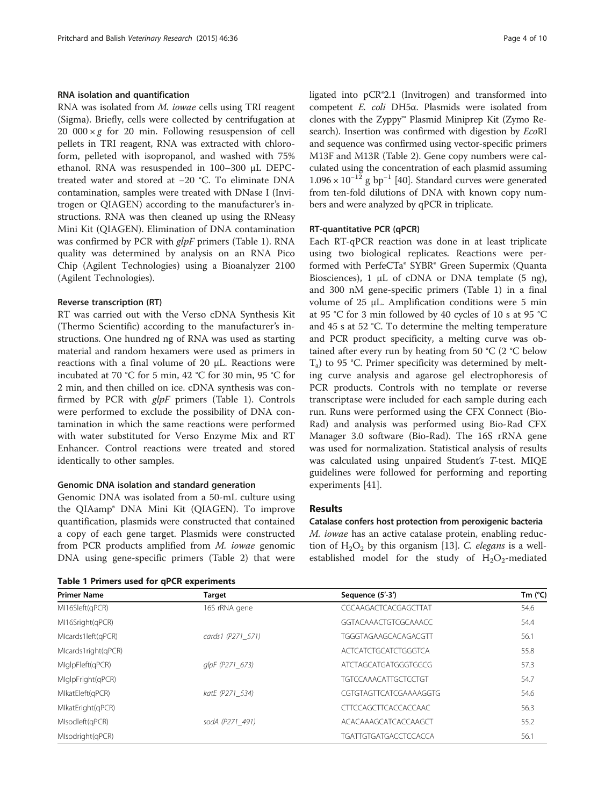#### RNA isolation and quantification

RNA was isolated from M. iowae cells using TRI reagent (Sigma). Briefly, cells were collected by centrifugation at 20  $000 \times g$  for 20 min. Following resuspension of cell pellets in TRI reagent, RNA was extracted with chloroform, pelleted with isopropanol, and washed with 75% ethanol. RNA was resuspended in 100–300 μL DEPCtreated water and stored at −20 °C. To eliminate DNA contamination, samples were treated with DNase I (Invitrogen or QIAGEN) according to the manufacturer's instructions. RNA was then cleaned up using the RNeasy Mini Kit (QIAGEN). Elimination of DNA contamination was confirmed by PCR with *glpF* primers (Table 1). RNA quality was determined by analysis on an RNA Pico Chip (Agilent Technologies) using a Bioanalyzer 2100 (Agilent Technologies).

#### Reverse transcription (RT)

RT was carried out with the Verso cDNA Synthesis Kit (Thermo Scientific) according to the manufacturer's instructions. One hundred ng of RNA was used as starting material and random hexamers were used as primers in reactions with a final volume of 20 μL. Reactions were incubated at 70 °C for 5 min, 42 °C for 30 min, 95 °C for 2 min, and then chilled on ice. cDNA synthesis was confirmed by PCR with glpF primers (Table 1). Controls were performed to exclude the possibility of DNA contamination in which the same reactions were performed with water substituted for Verso Enzyme Mix and RT Enhancer. Control reactions were treated and stored identically to other samples.

#### Genomic DNA isolation and standard generation

Genomic DNA was isolated from a 50-mL culture using the QIAamp® DNA Mini Kit (QIAGEN). To improve quantification, plasmids were constructed that contained a copy of each gene target. Plasmids were constructed from PCR products amplified from M. iowae genomic DNA using gene-specific primers (Table [2](#page-4-0)) that were

Table 1 Primers used for qPCR experiments

ligated into pCR®2.1 (Invitrogen) and transformed into competent E. coli DH5α. Plasmids were isolated from clones with the Zyppy™ Plasmid Miniprep Kit (Zymo Research). Insertion was confirmed with digestion by EcoRI and sequence was confirmed using vector-specific primers M13F and M13R (Table [2](#page-4-0)). Gene copy numbers were calculated using the concentration of each plasmid assuming  $1.096 \times 10^{-12}$  g bp<sup>-1</sup> [[40](#page-9-0)]. Standard curves were generated from ten-fold dilutions of DNA with known copy numbers and were analyzed by qPCR in triplicate.

#### RT-quantitative PCR (qPCR)

Each RT-qPCR reaction was done in at least triplicate using two biological replicates. Reactions were performed with PerfeCTa® SYBR® Green Supermix (Quanta Biosciences), 1 μL of cDNA or DNA template (5 ng), and 300 nM gene-specific primers (Table 1) in a final volume of 25 μL. Amplification conditions were 5 min at 95 °C for 3 min followed by 40 cycles of 10 s at 95 °C and 45 s at 52 °C. To determine the melting temperature and PCR product specificity, a melting curve was obtained after every run by heating from 50 °C (2 °C below  $T_a$ ) to 95 °C. Primer specificity was determined by melting curve analysis and agarose gel electrophoresis of PCR products. Controls with no template or reverse transcriptase were included for each sample during each run. Runs were performed using the CFX Connect (Bio-Rad) and analysis was performed using Bio-Rad CFX Manager 3.0 software (Bio-Rad). The 16S rRNA gene was used for normalization. Statistical analysis of results was calculated using unpaired Student's T-test. MIQE guidelines were followed for performing and reporting experiments [[41\]](#page-9-0).

#### Results

Catalase confers host protection from peroxigenic bacteria M. iowae has an active catalase protein, enabling reduction of  $H_2O_2$  by this organism [[13\]](#page-8-0). C. elegans is a wellestablished model for the study of  $H_2O_2$ -mediated

| <b>Primer Name</b>  | <b>Target</b>     | Sequence (5'-3')             | Tm $(^{\circ}C)$ |
|---------------------|-------------------|------------------------------|------------------|
| MI16Sleft(qPCR)     | 16S rRNA gene     | CGCAAGACTCACGAGCTTAT         | 54.6             |
| MI16Sright(qPCR)    |                   | <b>GGTACAAACTGTCGCAAACC</b>  | 54.4             |
| MIcards1left(qPCR)  | cards1 (P271 571) | TGGGTAGAAGCACAGACGTT         | 56.1             |
| MIcards1right(gPCR) |                   | <b>ACTCATCTGCATCTGGGTCA</b>  | 55.8             |
| MiglpFleft(qPCR)    | glpF (P271_673)   | ATCTAGCATGATGGGTGGCG         | 57.3             |
| MiglpFright(qPCR)   |                   | <b>TGTCCAAACATTGCTCCTGT</b>  | 54.7             |
| MIkatEleft(qPCR)    | katE (P271 534)   | CGTGTAGTTCATCGAAAAGGTG       | 54.6             |
| MlkatEright(qPCR)   |                   | <b>CTTCCAGCTTCACCACCAAC</b>  | 56.3             |
| MIsodleft(qPCR)     | sodA (P271 491)   | ACACAAAGCATCACCAAGCT         | 55.2             |
| MIsodright(gPCR)    |                   | <b>TGATTGTGATGACCTCCACCA</b> | 56.1             |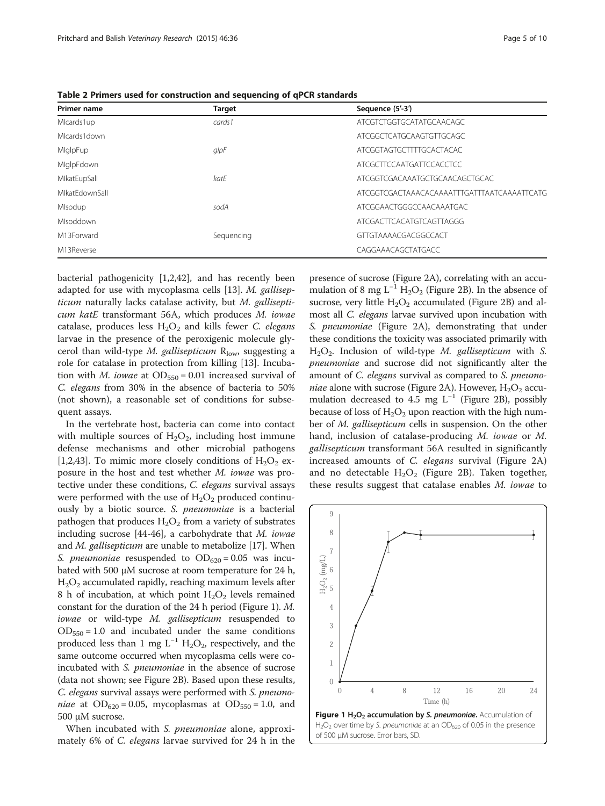<span id="page-4-0"></span>Table 2 Primers used for construction and sequencing of qPCR standards

| <b>Primer name</b> | Target                                  | Sequence (5'-3')                            |  |  |
|--------------------|-----------------------------------------|---------------------------------------------|--|--|
| Mlcards1up         | cards1                                  | ATCGTCTGGTGCATATGCAACAGC                    |  |  |
| Mlcards1down       |                                         | ATCGGCTCATGCAAGTGTTGCAGC                    |  |  |
| MiglpFup           | ATCGGTAGTGCTTTTGCACTACAC<br>$q$ $p$ $F$ |                                             |  |  |
| MiglpFdown         | <b>ATCGCTTCCAATGATTCCACCTCC</b>         |                                             |  |  |
| MlkatEupSall       | $k$ at $F$                              | ATCGGTCGACAAATGCTGCAACAGCTGCAC              |  |  |
| MlkatFdownSall     |                                         | ATCGGTCGACTAAACACAAAATTTGATTTAATCAAAATTCATG |  |  |
| MIsodup            | sodA                                    | ATCGGAACTGGGCCAACAAATGAC                    |  |  |
| Mlsoddown          |                                         | ATCGACTTCACATGTCAGTTAGGG                    |  |  |
| M13Forward         | Sequencing                              | GTTGTAAAACGACGGCCACT                        |  |  |
| M13Reverse         |                                         | CAGGAAACAGCTATGACC                          |  |  |

bacterial pathogenicity [[1,2,](#page-8-0)[42\]](#page-9-0), and has recently been adapted for use with mycoplasma cells [[13\]](#page-8-0). M. gallisepticum naturally lacks catalase activity, but M. gallisepticum katE transformant 56A, which produces M. iowae catalase, produces less  $H_2O_2$  and kills fewer C. elegans larvae in the presence of the peroxigenic molecule glycerol than wild-type *M. gallisepticum*  $R_{low}$  suggesting a role for catalase in protection from killing [\[13](#page-8-0)]. Incubation with *M. iowae* at  $OD_{550} = 0.01$  increased survival of C. elegans from 30% in the absence of bacteria to 50% (not shown), a reasonable set of conditions for subsequent assays.

In the vertebrate host, bacteria can come into contact with multiple sources of  $H_2O_2$ , including host immune defense mechanisms and other microbial pathogens [[1,2,](#page-8-0)[43\]](#page-9-0). To mimic more closely conditions of  $H_2O_2$  exposure in the host and test whether M. iowae was protective under these conditions, C. elegans survival assays were performed with the use of  $H_2O_2$  produced continuously by a biotic source. S. pneumoniae is a bacterial pathogen that produces  $H_2O_2$  from a variety of substrates including sucrose [\[44](#page-9-0)-[46](#page-9-0)], a carbohydrate that M. iowae and M. gallisepticum are unable to metabolize [\[17\]](#page-8-0). When S. pneumoniae resuspended to  $OD_{620} = 0.05$  was incubated with 500 μM sucrose at room temperature for 24 h,  $H<sub>2</sub>O<sub>2</sub>$  accumulated rapidly, reaching maximum levels after 8 h of incubation, at which point  $H_2O_2$  levels remained constant for the duration of the 24 h period (Figure 1). M. iowae or wild-type M. gallisepticum resuspended to  $OD_{550} = 1.0$  and incubated under the same conditions produced less than 1 mg  $L^{-1}$  H<sub>2</sub>O<sub>2</sub>, respectively, and the same outcome occurred when mycoplasma cells were coincubated with S. pneumoniae in the absence of sucrose (data not shown; see Figure [2](#page-5-0)B). Based upon these results, C. elegans survival assays were performed with S. pneumo*niae* at  $OD_{620} = 0.05$ , mycoplasmas at  $OD_{550} = 1.0$ , and 500 μM sucrose.

When incubated with S. *pneumoniae* alone, approximately 6% of C. elegans larvae survived for 24 h in the

presence of sucrose (Figure [2A](#page-5-0)), correlating with an accumulation of 8 mg  $L^{-1}$  H<sub>2</sub>O<sub>2</sub> (Figure [2](#page-5-0)B). In the absence of sucrose, very little  $H_2O_2$  accumulated (Figure [2B](#page-5-0)) and almost all C. elegans larvae survived upon incubation with S. pneumoniae (Figure [2](#page-5-0)A), demonstrating that under these conditions the toxicity was associated primarily with  $H_2O_2$ . Inclusion of wild-type M. gallisepticum with S. pneumoniae and sucrose did not significantly alter the amount of C. elegans survival as compared to S. pneumo-niae alone with sucrose (Figure [2](#page-5-0)A). However,  $H_2O_2$  accumulation decreased to 4.5 mg  $L^{-1}$  (Figure [2](#page-5-0)B), possibly because of loss of  $H_2O_2$  upon reaction with the high number of M. gallisepticum cells in suspension. On the other hand, inclusion of catalase-producing M. iowae or M. gallisepticum transformant 56A resulted in significantly increased amounts of C. elegans survival (Figure [2](#page-5-0)A) and no detectable  $H_2O_2$  (Figure [2B](#page-5-0)). Taken together, these results suggest that catalase enables M. iowae to

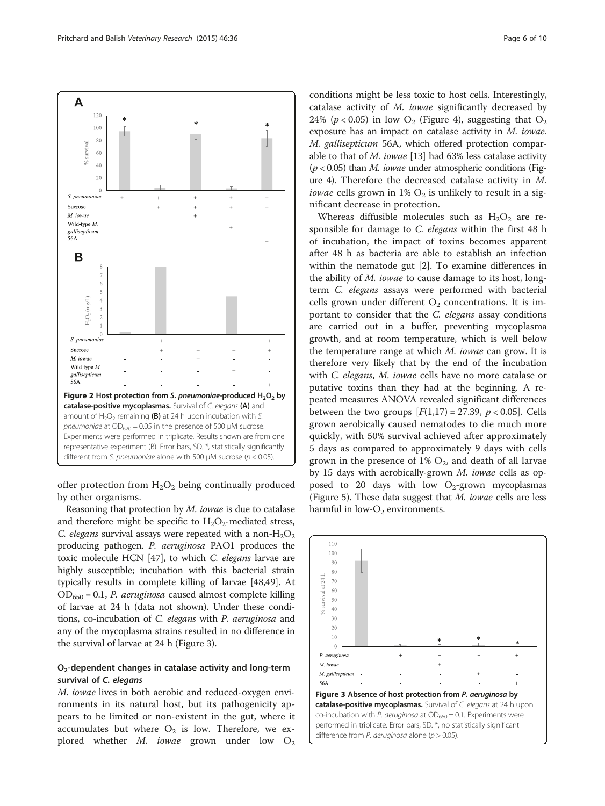<span id="page-5-0"></span>

offer protection from  $H_2O_2$  being continually produced by other organisms.

Reasoning that protection by M. iowae is due to catalase and therefore might be specific to  $H_2O_2$ -mediated stress, C. elegans survival assays were repeated with a non- $H_2O_2$ producing pathogen. P. aeruginosa PAO1 produces the toxic molecule HCN [\[47\]](#page-9-0), to which C. elegans larvae are highly susceptible; incubation with this bacterial strain typically results in complete killing of larvae [[48,49](#page-9-0)]. At  $OD_{650} = 0.1$ , *P. aeruginosa* caused almost complete killing of larvae at 24 h (data not shown). Under these conditions, co-incubation of C. elegans with P. aeruginosa and any of the mycoplasma strains resulted in no difference in the survival of larvae at 24 h (Figure 3).

#### O2-dependent changes in catalase activity and long-term survival of C. elegans

M. iowae lives in both aerobic and reduced-oxygen environments in its natural host, but its pathogenicity appears to be limited or non-existent in the gut, where it accumulates but where  $O_2$  is low. Therefore, we explored whether  $M.$  iowae grown under low  $O_2$ 

conditions might be less toxic to host cells. Interestingly, catalase activity of M. iowae significantly decreased by 24% ( $p < 0.05$ ) in low O<sub>2</sub> (Figure [4](#page-6-0)), suggesting that O<sub>2</sub> exposure has an impact on catalase activity in M. iowae. M. gallisepticum 56A, which offered protection comparable to that of M. iowae [[13](#page-8-0)] had 63% less catalase activity  $(p < 0.05)$  than M. *iowae* under atmospheric conditions (Figure [4](#page-6-0)). Therefore the decreased catalase activity in M. *iowae* cells grown in 1%  $O_2$  is unlikely to result in a significant decrease in protection.

Whereas diffusible molecules such as  $H_2O_2$  are responsible for damage to C. elegans within the first 48 h of incubation, the impact of toxins becomes apparent after 48 h as bacteria are able to establish an infection within the nematode gut [\[2](#page-8-0)]. To examine differences in the ability of M. iowae to cause damage to its host, longterm C. elegans assays were performed with bacterial cells grown under different  $O_2$  concentrations. It is important to consider that the C. elegans assay conditions are carried out in a buffer, preventing mycoplasma growth, and at room temperature, which is well below the temperature range at which M. iowae can grow. It is therefore very likely that by the end of the incubation with C. elegans, M. iowae cells have no more catalase or putative toxins than they had at the beginning. A repeated measures ANOVA revealed significant differences between the two groups  $[F(1,17) = 27.39, p < 0.05]$ . Cells grown aerobically caused nematodes to die much more quickly, with 50% survival achieved after approximately 5 days as compared to approximately 9 days with cells grown in the presence of 1%  $O_2$ , and death of all larvae by 15 days with aerobically-grown M. iowae cells as opposed to 20 days with low  $O_2$ -grown mycoplasmas (Figure [5](#page-6-0)). These data suggest that  $M$ . iowae cells are less harmful in low- $O_2$  environments.

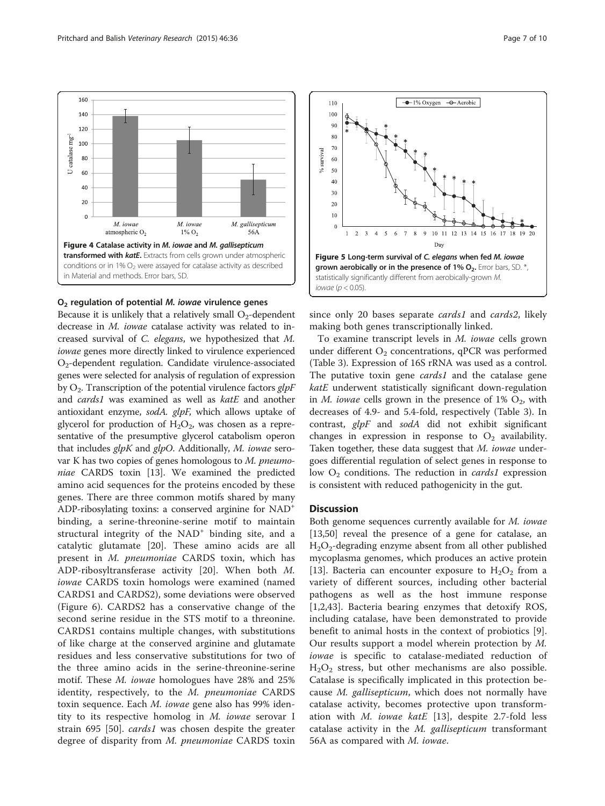<span id="page-6-0"></span>

#### $O<sub>2</sub>$  regulation of potential *M. iowae* virulence genes

Because it is unlikely that a relatively small  $O_2$ -dependent decrease in M. iowae catalase activity was related to increased survival of C. elegans, we hypothesized that M. iowae genes more directly linked to virulence experienced O2-dependent regulation. Candidate virulence-associated genes were selected for analysis of regulation of expression by  $O_2$ . Transcription of the potential virulence factors glpF and cards1 was examined as well as katE and another antioxidant enzyme, sodA. glpF, which allows uptake of glycerol for production of  $H_2O_2$ , was chosen as a representative of the presumptive glycerol catabolism operon that includes glpK and glpO. Additionally, M. iowae serovar K has two copies of genes homologous to M. pneumoniae CARDS toxin [[13](#page-8-0)]. We examined the predicted amino acid sequences for the proteins encoded by these genes. There are three common motifs shared by many ADP-ribosylating toxins: a conserved arginine for NAD+ binding, a serine-threonine-serine motif to maintain structural integrity of the  $NAD<sup>+</sup>$  binding site, and a catalytic glutamate [\[20](#page-8-0)]. These amino acids are all present in M. pneumoniae CARDS toxin, which has ADP-ribosyltransferase activity [\[20](#page-8-0)]. When both M. iowae CARDS toxin homologs were examined (named CARDS1 and CARDS2), some deviations were observed (Figure [6\)](#page-7-0). CARDS2 has a conservative change of the second serine residue in the STS motif to a threonine. CARDS1 contains multiple changes, with substitutions of like charge at the conserved arginine and glutamate residues and less conservative substitutions for two of the three amino acids in the serine-threonine-serine motif. These M. iowae homologues have 28% and 25% identity, respectively, to the M. pneumoniae CARDS toxin sequence. Each M. iowae gene also has 99% identity to its respective homolog in M. iowae serovar I strain 695 [[50\]](#page-9-0). cards1 was chosen despite the greater degree of disparity from M. pneumoniae CARDS toxin



since only 20 bases separate *cards1* and *cards2*, likely making both genes transcriptionally linked.

To examine transcript levels in M. iowae cells grown under different  $O_2$  concentrations, qPCR was performed (Table [3\)](#page-7-0). Expression of 16S rRNA was used as a control. The putative toxin gene *cards1* and the catalase gene katE underwent statistically significant down-regulation in *M. iowae* cells grown in the presence of  $1\%$  O<sub>2</sub>, with decreases of 4.9- and 5.4-fold, respectively (Table [3\)](#page-7-0). In contrast, glpF and sodA did not exhibit significant changes in expression in response to  $O_2$  availability. Taken together, these data suggest that M. *iowae* undergoes differential regulation of select genes in response to low  $O_2$  conditions. The reduction in *cards1* expression is consistent with reduced pathogenicity in the gut.

#### **Discussion**

Both genome sequences currently available for M. iowae [[13,](#page-8-0)[50\]](#page-9-0) reveal the presence of a gene for catalase, an  $H_2O_2$ -degrading enzyme absent from all other published mycoplasma genomes, which produces an active protein [[13\]](#page-8-0). Bacteria can encounter exposure to  $H_2O_2$  from a variety of different sources, including other bacterial pathogens as well as the host immune response [[1,2](#page-8-0)[,43](#page-9-0)]. Bacteria bearing enzymes that detoxify ROS, including catalase, have been demonstrated to provide benefit to animal hosts in the context of probiotics [\[9](#page-8-0)]. Our results support a model wherein protection by M. iowae is specific to catalase-mediated reduction of  $H_2O_2$  stress, but other mechanisms are also possible. Catalase is specifically implicated in this protection because M. gallisepticum, which does not normally have catalase activity, becomes protective upon transformation with M. *iowae katE* [[13\]](#page-8-0), despite 2.7-fold less catalase activity in the M. gallisepticum transformant 56A as compared with M. iowae.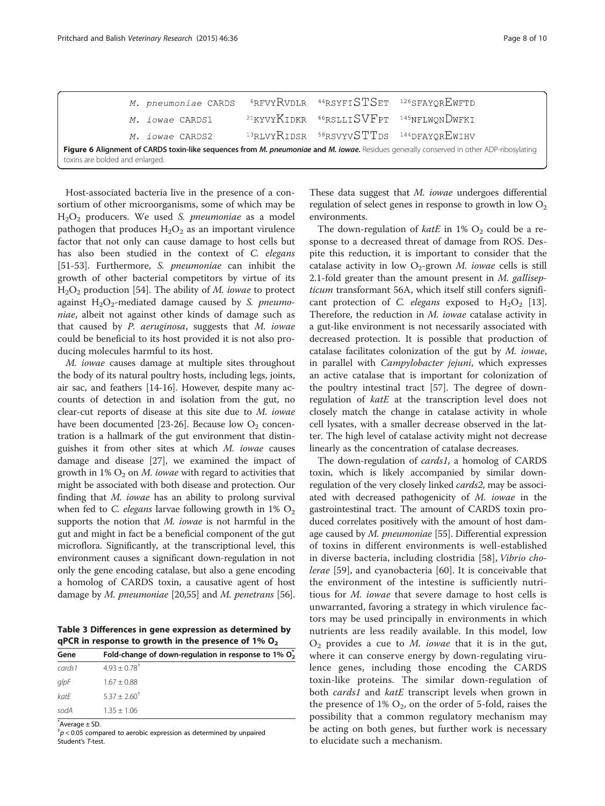<span id="page-7-0"></span>

|                                                                                                                                                                             | M. pneumoniae CARDS |  |  | $588$ FVY RVDLR $348$ SYFISTSET $126$ SFAY QREWET D |
|-----------------------------------------------------------------------------------------------------------------------------------------------------------------------------|---------------------|--|--|-----------------------------------------------------|
|                                                                                                                                                                             | M. iowae CARDS1     |  |  | $21$ KYVYKIDKR $66$ RSLLISVFPT $145$ NFLWONDWFKI    |
|                                                                                                                                                                             | M. iowae CARDS2     |  |  | $13$ RLVYRIDSR $58$ RSVYVSTTDS $144$ DFAYQREWIHV    |
| Figure 6 Alignment of CARDS toxin-like sequences from M. pneumoniae and M. iowae. Residues generally conserved in other ADP-ribosylating<br>toxins are bolded and enlarged. |                     |  |  |                                                     |

Host-associated bacteria live in the presence of a consortium of other microorganisms, some of which may be  $H<sub>2</sub>O<sub>2</sub>$  producers. We used S. pneumoniae as a model pathogen that produces  $H_2O_2$  as an important virulence factor that not only can cause damage to host cells but has also been studied in the context of C. elegans [[51-53](#page-9-0)]. Furthermore, S. pneumoniae can inhibit the growth of other bacterial competitors by virtue of its  $H_2O_2$  production [[54](#page-9-0)]. The ability of *M. iowae* to protect against  $H_2O_2$ -mediated damage caused by S. pneumoniae, albeit not against other kinds of damage such as that caused by P. aeruginosa, suggests that M. iowae could be beneficial to its host provided it is not also producing molecules harmful to its host.

M. iowae causes damage at multiple sites throughout the body of its natural poultry hosts, including legs, joints, air sac, and feathers [[14-16\]](#page-8-0). However, despite many accounts of detection in and isolation from the gut, no clear-cut reports of disease at this site due to M. iowae have been documented [\[23-26\]](#page-8-0). Because low  $O_2$  concentration is a hallmark of the gut environment that distinguishes it from other sites at which M. iowae causes damage and disease [\[27\]](#page-8-0), we examined the impact of growth in  $1\%$  O<sub>2</sub> on *M. iowae* with regard to activities that might be associated with both disease and protection. Our finding that M. iowae has an ability to prolong survival when fed to C. elegans larvae following growth in  $1\%$  O<sub>2</sub> supports the notion that  $M$ . iowae is not harmful in the gut and might in fact be a beneficial component of the gut microflora. Significantly, at the transcriptional level, this environment causes a significant down-regulation in not only the gene encoding catalase, but also a gene encoding a homolog of CARDS toxin, a causative agent of host damage by M. pneumoniae [[20](#page-8-0),[55](#page-9-0)] and M. penetrans [[56](#page-9-0)].

Table 3 Differences in gene expression as determined by qPCR in response to growth in the presence of  $1\%$  O<sub>2</sub>

| Gene   | Fold-change of down-regulation in response to $1\%$ O <sub>2</sub> |
|--------|--------------------------------------------------------------------|
| cards1 | $4.93 \pm 0.78$ <sup>†</sup>                                       |
| glpF   | $1.67 + 0.88$                                                      |
| katF   | $5.37 + 2.60^{\dagger}$                                            |
| sodA   | $1.35 + 1.06$                                                      |

\* Average ± SD.

 $^{\dagger}$ p < 0.05 compared to aerobic expression as determined by unpaired Student's T-test.

These data suggest that M. iowae undergoes differential regulation of select genes in response to growth in low  $O<sub>2</sub>$ environments.

The down-regulation of *katE* in 1%  $O_2$  could be a response to a decreased threat of damage from ROS. Despite this reduction, it is important to consider that the catalase activity in low  $O_2$ -grown *M. iowae* cells is still 2.1-fold greater than the amount present in  $M$ . gallisepticum transformant 56A, which itself still confers significant protection of C. elegans exposed to  $H_2O_2$  [\[13](#page-8-0)]. Therefore, the reduction in M. iowae catalase activity in a gut-like environment is not necessarily associated with decreased protection. It is possible that production of catalase facilitates colonization of the gut by  $M$ . iowae, in parallel with Campylobacter jejuni, which expresses an active catalase that is important for colonization of the poultry intestinal tract [\[57](#page-9-0)]. The degree of downregulation of *katE* at the transcription level does not closely match the change in catalase activity in whole cell lysates, with a smaller decrease observed in the latter. The high level of catalase activity might not decrease linearly as the concentration of catalase decreases.

The down-regulation of cards1, a homolog of CARDS toxin, which is likely accompanied by similar downregulation of the very closely linked cards2, may be associated with decreased pathogenicity of M. iowae in the gastrointestinal tract. The amount of CARDS toxin produced correlates positively with the amount of host damage caused by *M. pneumoniae* [\[55\]](#page-9-0). Differential expression of toxins in different environments is well-established in diverse bacteria, including clostridia [[58](#page-9-0)], Vibrio cholerae [\[59](#page-9-0)], and cyanobacteria [\[60](#page-9-0)]. It is conceivable that the environment of the intestine is sufficiently nutritious for M. iowae that severe damage to host cells is unwarranted, favoring a strategy in which virulence factors may be used principally in environments in which nutrients are less readily available. In this model, low  $O<sub>2</sub>$  provides a cue to M. iowae that it is in the gut, where it can conserve energy by down-regulating virulence genes, including those encoding the CARDS toxin-like proteins. The similar down-regulation of both *cards1* and *katE* transcript levels when grown in the presence of  $1\%$  O<sub>2</sub>, on the order of 5-fold, raises the possibility that a common regulatory mechanism may be acting on both genes, but further work is necessary to elucidate such a mechanism.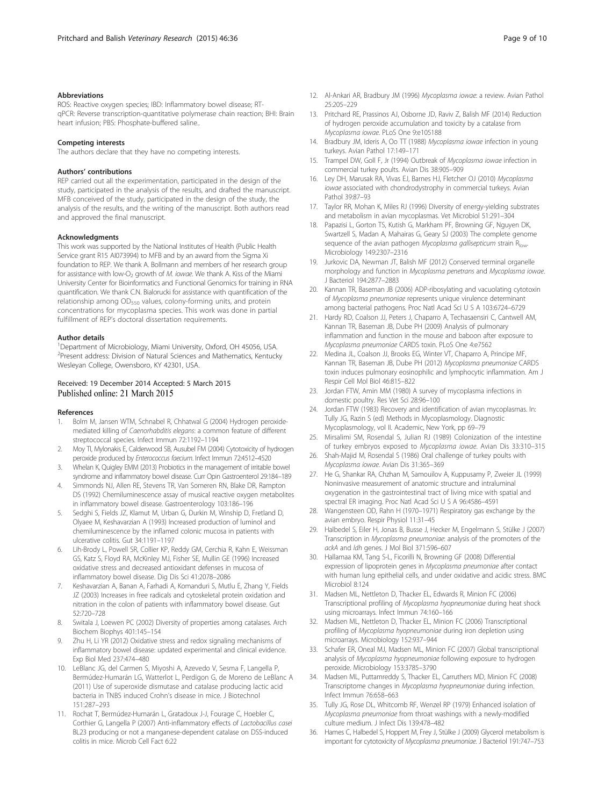#### <span id="page-8-0"></span>**Abbreviations**

ROS: Reactive oxygen species; IBD: Inflammatory bowel disease; RTqPCR: Reverse transcription-quantitative polymerase chain reaction; BHI: Brain heart infusion; PBS: Phosphate-buffered saline..

#### Competing interests

The authors declare that they have no competing interests.

#### Authors' contributions

REP carried out all the experimentation, participated in the design of the study, participated in the analysis of the results, and drafted the manuscript. MFB conceived of the study, participated in the design of the study, the analysis of the results, and the writing of the manuscript. Both authors read and approved the final manuscript.

#### Acknowledgments

This work was supported by the National Institutes of Health (Public Health Service grant R15 AI073994) to MFB and by an award from the Sigma Xi foundation to REP. We thank A. Bollmann and members of her research group for assistance with low-O<sub>2</sub> growth of M. iowae. We thank A. Kiss of the Miami University Center for Bioinformatics and Functional Genomics for training in RNA quantification. We thank C.N. Bialorucki for assistance with quantification of the relationship among OD550 values, colony-forming units, and protein concentrations for mycoplasma species. This work was done in partial fulfillment of REP's doctoral dissertation requirements.

#### Author details

<sup>1</sup>Department of Microbiology, Miami University, Oxford, OH 45056, USA. <sup>2</sup>Present address: Division of Natural Sciences and Mathematics, Kentucky Wesleyan College, Owensboro, KY 42301, USA.

## Received: 19 December 2014 Accepted: 5 March 2015<br>Published online: 21 March 2015

#### References

- 1. Bolm M, Jansen WTM, Schnabel R, Chhatwal G (2004) Hydrogen peroxidemediated killing of Caenorhabditis elegans: a common feature of different streptococcal species. Infect Immun 72:1192–1194
- 2. Moy TI, Mylonakis E, Calderwood SB, Ausubel FM (2004) Cytotoxicity of hydrogen peroxide produced by Enterococcus faecium. Infect Immun 72:4512–4520
- 3. Whelan K, Quigley EMM (2013) Probiotics in the management of irritable bowel syndrome and inflammatory bowel disease. Curr Opin Gastroenterol 29:184–189
- 4. Simmonds NJ, Allen RE, Stevens TR, Van Someren RN, Blake DR, Rampton DS (1992) Chemiluminescence assay of musical reactive oxygen metabolites in inflammatory bowel disease. Gastroenterology 103:186–196
- 5. Sedghi S, Fields JZ, Klamut M, Urban G, Durkin M, Winship D, Fretland D, Olyaee M, Keshavarzian A (1993) Increased production of luminol and chemiluminescence by the inflamed colonic mucosa in patients with ulcerative colitis. Gut 34:1191–1197
- 6. Lih-Brody L, Powell SR, Collier KP, Reddy GM, Cerchia R, Kahn E, Weissman GS, Katz S, Floyd RA, McKinley MJ, Fisher SE, Mullin GE (1996) Increased oxidative stress and decreased antioxidant defenses in mucosa of inflammatory bowel disease. Dig Dis Sci 41:2078–2086
- 7. Keshavarzian A, Banan A, Farhadi A, Komanduri S, Mutlu E, Zhang Y, Fields JZ (2003) Increases in free radicals and cytoskeletal protein oxidation and nitration in the colon of patients with inflammatory bowel disease. Gut 52:720–728
- 8. Switala J, Loewen PC (2002) Diversity of properties among catalases. Arch Biochem Biophys 401:145–154
- 9. Zhu H, Li YR (2012) Oxidative stress and redox signaling mechanisms of inflammatory bowel disease: updated experimental and clinical evidence. Exp Biol Med 237:474–480
- 10. LeBlanc JG, del Carmen S, Miyoshi A, Azevedo V, Sesma F, Langella P, Bermúdez-Humarán LG, Watterlot L, Perdigon G, de Moreno de LeBlanc A (2011) Use of superoxide dismutase and catalase producing lactic acid bacteria in TNBS induced Crohn's disease in mice. J Biotechnol 151:287–293
- 11. Rochat T, Bermúdez-Humarán L, Gratadoux J-J, Fourage C, Hoebler C, Corthier G, Langella P (2007) Anti-inflammatory effects of Lactobacillus casei BL23 producing or not a manganese-dependent catalase on DSS-induced colitis in mice. Microb Cell Fact 6:22
- 12. Al-Ankari AR, Bradbury JM (1996) Mycoplasma iowae: a review. Avian Pathol 25:205–229
- 13. Pritchard RE, Prassinos AJ, Osborne JD, Raviv Z, Balish MF (2014) Reduction of hydrogen peroxide accumulation and toxicity by a catalase from Mycoplasma iowae. PLoS One 9:e105188
- 14. Bradbury JM, Ideris A, Oo TT (1988) Mycoplasma iowae infection in young turkeys. Avian Pathol 17:149–171
- 15. Trampel DW, Goll F, Jr (1994) Outbreak of Mycoplasma iowae infection in commercial turkey poults. Avian Dis 38:905–909
- 16. Ley DH, Marusak RA, Vivas EJ, Barnes HJ, Fletcher OJ (2010) Mycoplasma iowae associated with chondrodystrophy in commercial turkeys. Avian Pathol 39:87–93
- 17. Taylor RR, Mohan K, Miles RJ (1996) Diversity of energy-yielding substrates and metabolism in avian mycoplasmas. Vet Microbiol 51:291–304
- 18. Papazisi L, Gorton TS, Kutish G, Markham PF, Browning GF, Nguyen DK, Swartzell S, Madan A, Mahairas G, Geary SJ (2003) The complete genome sequence of the avian pathogen Mycoplasma gallisepticum strain  $R_{\text{low}}$ Microbiology 149:2307–2316
- 19. Jurkovic DA, Newman JT, Balish MF (2012) Conserved terminal organelle morphology and function in Mycoplasma penetrans and Mycoplasma iowae. J Bacteriol 194:2877–2883
- 20. Kannan TR, Baseman JB (2006) ADP-ribosylating and vacuolating cytotoxin of Mycoplasma pneumoniae represents unique virulence determinant among bacterial pathogens. Proc Natl Acad Sci U S A 103:6724–6729
- 21. Hardy RD, Coalson JJ, Peters J, Chaparro A, Techasaensiri C, Cantwell AM, Kannan TR, Baseman JB, Dube PH (2009) Analysis of pulmonary inflammation and function in the mouse and baboon after exposure to Mycoplasma pneumoniae CARDS toxin. PLoS One 4:e7562
- 22. Medina JL, Coalson JJ, Brooks EG, Winter VT, Chaparro A, Principe MF, Kannan TR, Baseman JB, Dube PH (2012) Mycoplasma pneumoniae CARDS toxin induces pulmonary eosinophilic and lymphocytic inflammation. Am J Respir Cell Mol Biol 46:815–822
- 23. Jordan FTW, Amin MM (1980) A survey of mycoplasma infections in domestic poultry. Res Vet Sci 28:96–100
- 24. Jordan FTW (1983) Recovery and identification of avian mycoplasmas. In: Tully JG, Razin S (ed) Methods in Mycoplasmology. Diagnostic Mycoplasmology, vol II. Academic, New York, pp 69–79
- 25. Mirsalimi SM, Rosendal S, Julian RJ (1989) Colonization of the intestine of turkey embryos exposed to Mycoplasma iowae. Avian Dis 33:310–315
- 26. Shah-Majid M, Rosendal S (1986) Oral challenge of turkey poults with Mycoplasma iowae. Avian Dis 31:365–369
- 27. He G, Shankar RA, Chzhan M, Samouilov A, Kuppusamy P, Zweier JL (1999) Noninvasive measurement of anatomic structure and intraluminal oxygenation in the gastrointestinal tract of living mice with spatial and spectral ER imaging. Proc Natl Acad Sci U S A 96:4586–4591
- 28. Wangensteen OD, Rahn H (1970–1971) Respiratory gas exchange by the avian embryo. Respir Physiol 11:31–45
- 29. Halbedel S, Eiler H, Jonas B, Busse J, Hecker M, Engelmann S, Stülke J (2007) Transcription in Mycoplasma pneumoniae: analysis of the promoters of the ackA and ldh genes. J Mol Biol 371:596–607
- 30. Hallamaa KM, Tang S-L, Ficorilli N, Browning GF (2008) Differential expression of lipoprotein genes in Mycoplasma pneumoniae after contact with human lung epithelial cells, and under oxidative and acidic stress. BMC Microbiol 8:124
- 31. Madsen ML, Nettleton D, Thacker EL, Edwards R, Minion FC (2006) Transcriptional profiling of Mycoplasma hyopneumoniae during heat shock using microarrays. Infect Immun 74:160–166
- 32. Madsen ML, Nettleton D, Thacker EL, Minion FC (2006) Transcriptional profiling of Mycoplasma hyopneumoniae during iron depletion using microarrays. Microbiology 152:937–944
- 33. Schafer ER, Oneal MJ, Madsen ML, Minion FC (2007) Global transcriptional analysis of Mycoplasma hyopneumoniae following exposure to hydrogen peroxide. Microbiology 153:3785–3790
- 34. Madsen ML, Puttamreddy S, Thacker EL, Carruthers MD, Minion FC (2008) Transcriptome changes in Mycoplasma hyopneumoniae during infection. Infect Immun 76:658–663
- 35. Tully JG, Rose DL, Whitcomb RF, Wenzel RP (1979) Enhanced isolation of Mycoplasma pneumoniae from throat washings with a newly-modified culture medium. J Infect Dis 139:478–482
- 36. Hames C, Halbedel S, Hoppert M, Frey J, Stülke J (2009) Glycerol metabolism is important for cytotoxicity of Mycoplasma pneumoniae. J Bacteriol 191:747–753